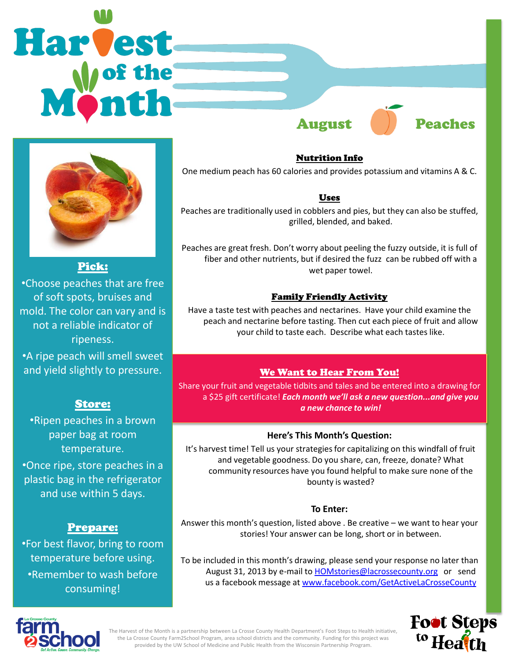# **Harvest** August **Peaches**



Pick:

•Choose peaches that are free of soft spots, bruises and mold. The color can vary and is not a reliable indicator of ripeness.

•A ripe peach will smell sweet and yield slightly to pressure.

# Store:

•Ripen peaches in a brown paper bag at room temperature.

•Once ripe, store peaches in a plastic bag in the refrigerator and use within 5 days.

# Prepare:

•For best flavor, bring to room temperature before using. •Remember to wash before consuming!

Nutrition Info

One medium peach has 60 calories and provides potassium and vitamins A & C.

### Uses

Peaches are traditionally used in cobblers and pies, but they can also be stuffed, grilled, blended, and baked.

Peaches are great fresh. Don't worry about peeling the fuzzy outside, it is full of fiber and other nutrients, but if desired the fuzz can be rubbed off with a wet paper towel.

## Family Friendly Activity

Have a taste test with peaches and nectarines. Have your child examine the peach and nectarine before tasting. Then cut each piece of fruit and allow your child to taste each. Describe what each tastes like.

# We Want to Hear From You!

Share your fruit and vegetable tidbits and tales and be entered into a drawing for a \$25 gift certificate! *Each month we'll ask a new question...and give you a new chance to win!*

## **Here's This Month's Question:**

It's harvest time! Tell us your strategies for capitalizing on this windfall of fruit and vegetable goodness. Do you share, can, freeze, donate? What community resources have you found helpful to make sure none of the bounty is wasted?

#### **To Enter:**

Answer this month's question, listed above . Be creative – we want to hear your stories! Your answer can be long, short or in between.

To be included in this month's drawing, please send your response no later than August 31, 2013 by e-mail to [HOMstories@lacrossecounty.org](mailto:HOMstories@lacrossecounty.org) or send us a facebook message at [www.facebook.com/GetActiveLaCrosseCounty](http://www.facebook.com/GetActiveLaCrosseCounty)